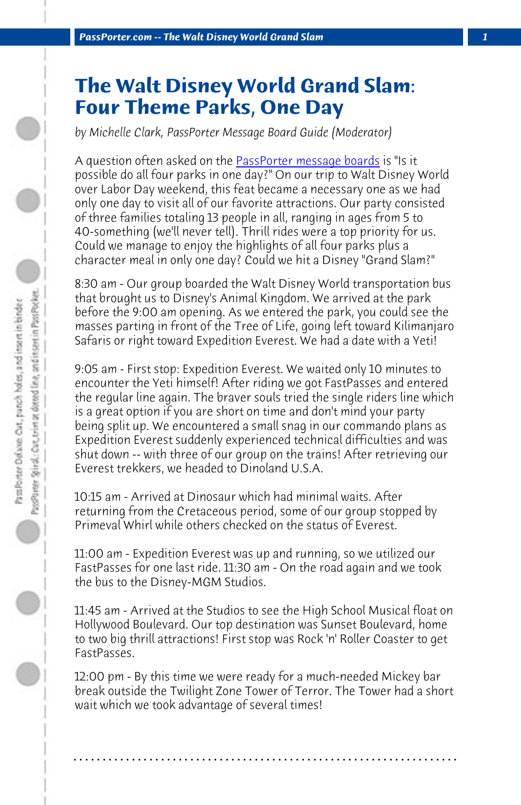*PassPorter.com -- The Walt Disney World Grand Slam 1*

## **The Walt Disney World Grand Slam: Four Theme Parks, One Day**

*by Michelle Clark, PassPorter Message Board Guide (Moderator)*

A question often asked on the **PassPorter message boards** is "Is it possible do all four parks in one day?" On our trip to Walt Disney World over Labor Day weekend, this feat became a necessary one as we had only one day to visit all of our favorite attractions. Our party consisted of three families totaling 13 people in all, ranging in ages from 5 to 40-something (we'll never tell). Thrill rides were a top priority for us. Could we manage to enjoy the highlights of all four parks plus a character meal in only one day? Could we hit a Disney "Grand Slam?"

8:30 am - Our group boarded the Walt Disney World transportation bus that brought us to Disney's Animal Kingdom. We arrived at the park before the 9:00 am opening. As we entered the park, you could see the masses parting in front of the Tree of Life, going left toward Kilimanjaro Safaris or right toward Expedition Everest. We had a date with a Yeti!

9:05 am - First stop: Expedition Everest. We waited only 10 minutes to encounter the Yeti himself! After riding we got FastPasses and entered the regular line again. The braver souls tried the single riders line which is a great option if you are short on time and don't mind your party being split up. We encountered a small snag in our commando plans as Expedition Everest suddenly experienced technical difficulties and was shut down -- with three of our group on the trains! After retrieving our Everest trekkers, we headed to Dinoland U.S.A.

10:15 am - Arrived at Dinosaur which had minimal waits. After returning from the Cretaceous period, some of our group stopped by Primeval Whirl while others checked on the status of Everest.

11:00 am - Expedition Everest was up and running, so we utilized our FastPasses for one last ride. 11:30 am - On the road again and we took the bus to the Disney-MGM Studios.

11:45 am - Arrived at the Studios to see the High School Musical float on Hollywood Boulevard. Our top destination was Sunset Boulevard, home to two big thrill attractions! First stop was Rock 'n' Roller Coaster to get FastPasses.

12:00 pm - By this time we were ready for a much-needed Mickey bar break outside the Twilight Zone Tower of Terror. The Tower had a short wait which we took advantage of several times!

**. . . . . . . . . . . . . . . . . . . . . . . . . . . . . . . . . . . . . . . . . . . . . . . . . . . . . . . . . . . . . . . . . .**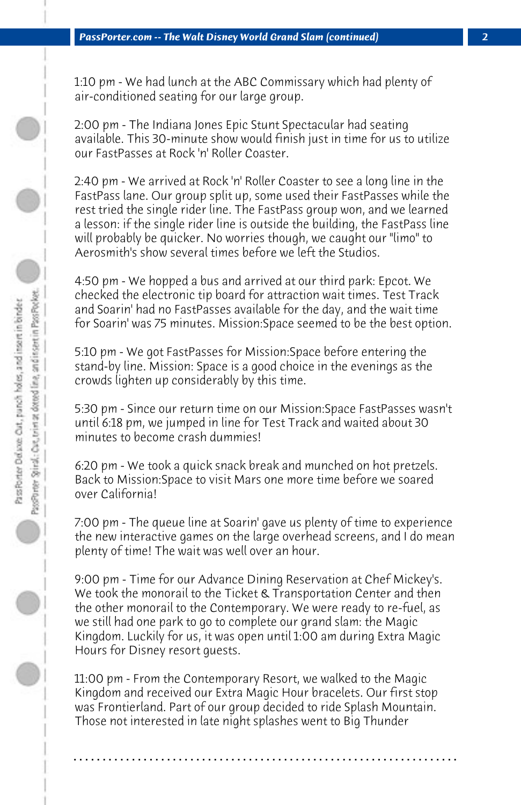1:10 pm - We had lunch at the ABC Commissary which had plenty of air-conditioned seating for our large group.

2:00 pm - The Indiana Jones Epic Stunt Spectacular had seating available. This 30-minute show would finish just in time for us to utilize our FastPasses at Rock 'n' Roller Coaster.

2:40 pm - We arrived at Rock 'n' Roller Coaster to see a long line in the FastPass lane. Our group split up, some used their FastPasses while the rest tried the single rider line. The FastPass group won, and we learned a lesson: if the single rider line is outside the building, the FastPass line will probably be quicker. No worries though, we caught our "limo" to Aerosmith's show several times before we left the Studios.

4:50 pm - We hopped a bus and arrived at our third park: Epcot. We checked the electronic tip board for attraction wait times. Test Track and Soarin' had no FastPasses available for the day, and the wait time for Soarin' was 75 minutes. Mission:Space seemed to be the best option.

5:10 pm - We got FastPasses for Mission:Space before entering the stand-by line. Mission: Space is a good choice in the evenings as the crowds lighten up considerably by this time.

5:30 pm - Since our return time on our Mission:Space FastPasses wasn't until 6:18 pm, we jumped in line for Test Track and waited about 30 minutes to become crash dummies!

6:20 pm - We took a quick snack break and munched on hot pretzels. Back to Mission:Space to visit Mars one more time before we soared over California!

7:00 pm - The queue line at Soarin' gave us plenty of time to experience the new interactive games on the large overhead screens, and I do mean plenty of time! The wait was well over an hour.

9:00 pm - Time for our Advance Dining Reservation at Chef Mickey's. We took the monorail to the Ticket & Transportation Center and then the other monorail to the Contemporary. We were ready to re-fuel, as we still had one park to go to complete our grand slam: the Magic Kingdom. Luckily for us, it was open until 1:00 am during Extra Magic Hours for Disney resort guests.

11:00 pm - From the Contemporary Resort, we walked to the Magic Kingdom and received our Extra Magic Hour bracelets. Our first stop was Frontierland. Part of our group decided to ride Splash Mountain. Those not interested in late night splashes went to Big Thunder

**. . . . . . . . . . . . . . . . . . . . . . . . . . . . . . . . . . . . . . . . . . . . . . . . . . . . . . . . . . . . . . . . . .**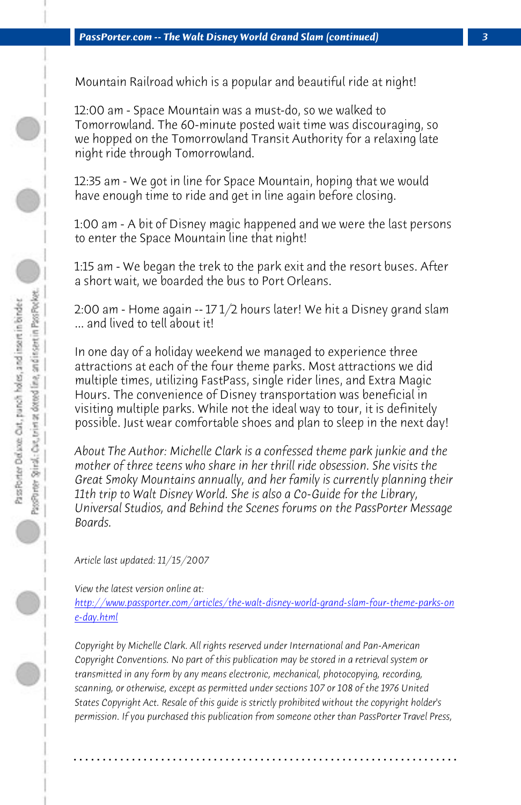## 12:00 am - Space Mountain was a must-do, so we walked to Tomorrowland. The 60-minute posted wait time was discouraging, so we hopped on the Tomorrowland Transit Authority for a relaxing late night ride through Tomorrowland.

12:35 am - We got in line for Space Mountain, hoping that we would have enough time to ride and get in line again before closing.

 *PassPorter.com -- The Walt Disney World Grand Slam (continued) 3*

Mountain Railroad which is a popular and beautiful ride at night!

1:00 am - A bit of Disney magic happened and we were the last persons to enter the Space Mountain line that night!

1:15 am - We began the trek to the park exit and the resort buses. After a short wait, we boarded the bus to Port Orleans.

2:00 am - Home again -- 17 1/2 hours later! We hit a Disney grand slam ... and lived to tell about it!

In one day of a holiday weekend we managed to experience three [attractions at each of the four theme parks. Most attractions we did](http://www.passporter.com/articles/the-walt-disney-world-grand-slam-four-theme-parks-one-day.php) [multiple](http://www.passporter.com/articles/the-walt-disney-world-grand-slam-four-theme-parks-one-day.php) times, utilizing FastPass, single rider lines, and Extra Magic Hours. The convenience of Disney transportation was beneficial in visiting multiple parks. While not the ideal way to tour, it is definitely possible. Just wear comfortable shoes and plan to sleep in the next day!

*About The Author: Michelle Clark is a confessed theme park junkie and the mother of three teens who share in her thrill ride obsession. She visits the Great Smoky Mountains annually, and her family is currently planning their 11th trip to Walt Disney World. She is also a Co-Guide for the Library, Universal Studios, and Behind the Scenes forums on the PassPorter Message Boards.*

*Article last updated: 11/15/2007*

*View the latest version online at:* 

*http://www.passporter.com/articles/the-walt-disney-world-grand-slam-four-theme-parks-on e-day.html*

*Copyright by Michelle Clark. All rights reserved under International and Pan-American Copyright Conventions. No part of this publication may be stored in a retrieval system or transmitted in any form by any means electronic, mechanical, photocopying, recording, scanning, or otherwise, except as permitted under sections 107 or 108 of the 1976 United States Copyright Act. Resale of this guide is strictly prohibited without the copyright holder's permission. If you purchased this publication from someone other than PassPorter Travel Press,*

**. . . . . . . . . . . . . . . . . . . . . . . . . . . . . . . . . . . . . . . . . . . . . . . . . . . . . . . . . . . . . . . . . .**